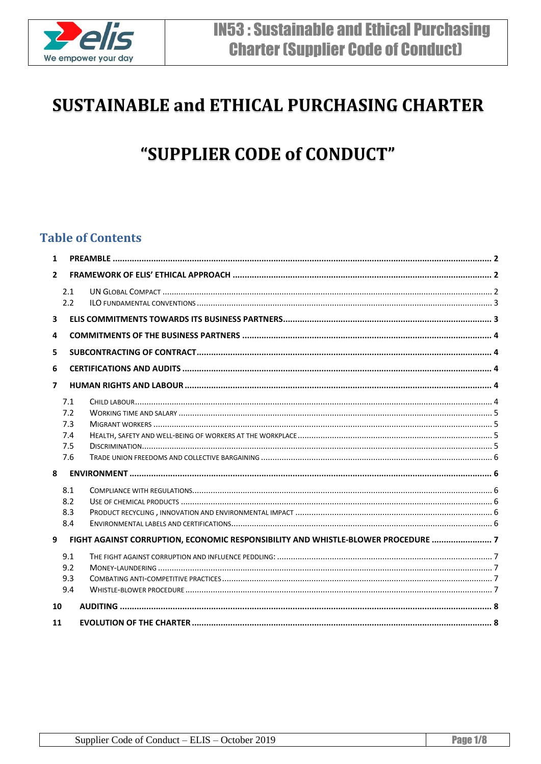

# **SUSTAINABLE and ETHICAL PURCHASING CHARTER**

# "SUPPLIER CODE of CONDUCT"

## **Table of Contents**

| $\mathbf{1}$            |                                                                    |                                                                                   |  |  |
|-------------------------|--------------------------------------------------------------------|-----------------------------------------------------------------------------------|--|--|
| $\overline{2}$          |                                                                    |                                                                                   |  |  |
|                         | 2.1<br>2.2                                                         |                                                                                   |  |  |
| $\overline{\mathbf{3}}$ |                                                                    |                                                                                   |  |  |
| 4                       |                                                                    |                                                                                   |  |  |
| 5                       |                                                                    |                                                                                   |  |  |
| 6                       |                                                                    |                                                                                   |  |  |
| $\overline{ }$          |                                                                    |                                                                                   |  |  |
| 8                       | 7.1<br>7.2<br>7.3<br>7.4<br>7.5<br>7.6<br>8.1<br>8.2<br>8.3<br>8.4 |                                                                                   |  |  |
| 9                       |                                                                    | FIGHT AGAINST CORRUPTION, ECONOMIC RESPONSIBILITY AND WHISTLE-BLOWER PROCEDURE  7 |  |  |
|                         | 9.1<br>9.2<br>9.3<br>9.4                                           |                                                                                   |  |  |
| 10                      |                                                                    |                                                                                   |  |  |
| 11                      |                                                                    |                                                                                   |  |  |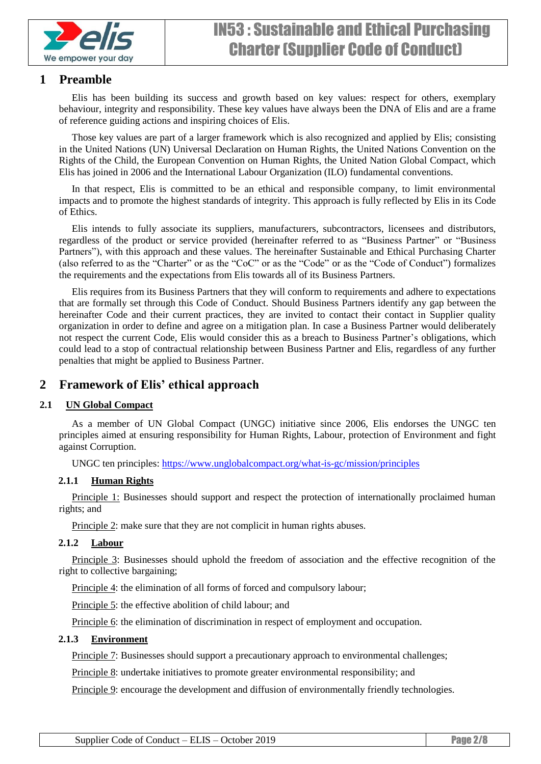

## <span id="page-1-0"></span>**1 Preamble**

Elis has been building its success and growth based on key values: respect for others, exemplary behaviour, integrity and responsibility. These key values have always been the DNA of Elis and are a frame of reference guiding actions and inspiring choices of Elis.

Those key values are part of a larger framework which is also recognized and applied by Elis; consisting in the United Nations (UN) Universal Declaration on Human Rights, the United Nations Convention on the Rights of the Child, the European Convention on Human Rights, the United Nation Global Compact, which Elis has joined in 2006 and the International Labour Organization (ILO) fundamental conventions.

In that respect, Elis is committed to be an ethical and responsible company, to limit environmental impacts and to promote the highest standards of integrity. This approach is fully reflected by Elis in its Code of Ethics.

Elis intends to fully associate its suppliers, manufacturers, subcontractors, licensees and distributors, regardless of the product or service provided (hereinafter referred to as "Business Partner" or "Business Partners"), with this approach and these values. The hereinafter Sustainable and Ethical Purchasing Charter (also referred to as the "Charter" or as the "CoC" or as the "Code" or as the "Code of Conduct") formalizes the requirements and the expectations from Elis towards all of its Business Partners.

Elis requires from its Business Partners that they will conform to requirements and adhere to expectations that are formally set through this Code of Conduct. Should Business Partners identify any gap between the hereinafter Code and their current practices, they are invited to contact their contact in Supplier quality organization in order to define and agree on a mitigation plan. In case a Business Partner would deliberately not respect the current Code, Elis would consider this as a breach to Business Partner's obligations, which could lead to a stop of contractual relationship between Business Partner and Elis, regardless of any further penalties that might be applied to Business Partner.

## <span id="page-1-1"></span>**2 Framework of Elis' ethical approach**

#### <span id="page-1-2"></span>**2.1 UN Global Compact**

As a member of UN Global Compact (UNGC) initiative since 2006, Elis endorses the UNGC ten principles aimed at ensuring responsibility for Human Rights, Labour, protection of Environment and fight against Corruption.

UNGC ten principles:<https://www.unglobalcompact.org/what-is-gc/mission/principles>

#### **2.1.1 Human Rights**

[Principle 1:](https://www.unglobalcompact.org/what-is-gc/mission/principles/principle-1) Businesses should support and respect the protection of internationally proclaimed human rights; and

[Principle 2:](https://www.unglobalcompact.org/what-is-gc/mission/principles/principle-2) make sure that they are not complicit in human rights abuses.

#### **2.1.2 Labour**

[Principle 3:](https://www.unglobalcompact.org/what-is-gc/mission/principles/principle-3) Businesses should uphold the freedom of association and the effective recognition of the right to collective bargaining;

[Principle 4:](https://www.unglobalcompact.org/what-is-gc/mission/principles/principle-4) the elimination of all forms of forced and compulsory labour;

[Principle 5:](https://www.unglobalcompact.org/what-is-gc/mission/principles/principle-5) the effective abolition of child labour; and

[Principle 6:](https://www.unglobalcompact.org/what-is-gc/mission/principles/principle-6) the elimination of discrimination in respect of employment and occupation.

#### **2.1.3 Environment**

[Principle 7:](https://www.unglobalcompact.org/what-is-gc/mission/principles/principle-7) Businesses should support a precautionary approach to environmental challenges;

[Principle 8:](https://www.unglobalcompact.org/what-is-gc/mission/principles/principle-8) undertake initiatives to promote greater environmental responsibility; and

[Principle 9:](https://www.unglobalcompact.org/what-is-gc/mission/principles/principle-9) encourage the development and diffusion of environmentally friendly technologies.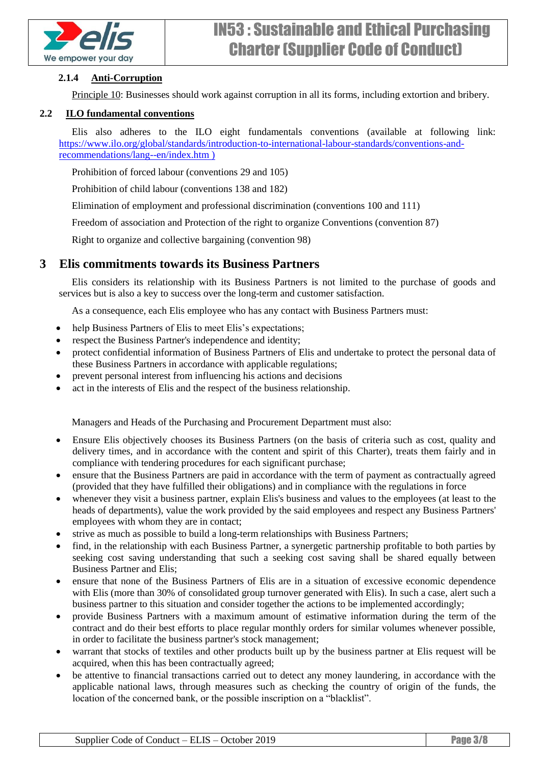

#### **2.1.4 Anti-Corruption**

[Principle 10:](https://www.unglobalcompact.org/what-is-gc/mission/principles/principle-10) Businesses should work against corruption in all its forms, including extortion and bribery.

#### <span id="page-2-0"></span>**2.2 ILO fundamental conventions**

Elis also adheres to the ILO eight fundamentals conventions (available at following link: [https://www.ilo.org/global/standards/introduction-to-international-labour-standards/conventions-and](https://www.ilo.org/global/standards/introduction-to-international-labour-standards/conventions-and-recommendations/lang--en/index.htm)[recommendations/lang--en/index.htm](https://www.ilo.org/global/standards/introduction-to-international-labour-standards/conventions-and-recommendations/lang--en/index.htm) )

Prohibition of forced labour (conventions 29 and 105)

Prohibition of child labour (conventions 138 and 182)

Elimination of employment and professional discrimination (conventions 100 and 111)

Freedom of association and Protection of the right to organize Conventions (convention 87)

Right to organize and collective bargaining (convention 98)

## <span id="page-2-1"></span>**3 Elis commitments towards its Business Partners**

Elis considers its relationship with its Business Partners is not limited to the purchase of goods and services but is also a key to success over the long-term and customer satisfaction.

As a consequence, each Elis employee who has any contact with Business Partners must:

- help Business Partners of Elis to meet Elis's expectations;
- respect the Business Partner's independence and identity;
- protect confidential information of Business Partners of Elis and undertake to protect the personal data of these Business Partners in accordance with applicable regulations;
- prevent personal interest from influencing his actions and decisions
- act in the interests of Elis and the respect of the business relationship.

Managers and Heads of the Purchasing and Procurement Department must also:

- Ensure Elis objectively chooses its Business Partners (on the basis of criteria such as cost, quality and delivery times, and in accordance with the content and spirit of this Charter), treats them fairly and in compliance with tendering procedures for each significant purchase;
- ensure that the Business Partners are paid in accordance with the term of payment as contractually agreed (provided that they have fulfilled their obligations) and in compliance with the regulations in force
- whenever they visit a business partner, explain Elis's business and values to the employees (at least to the heads of departments), value the work provided by the said employees and respect any Business Partners' employees with whom they are in contact;
- strive as much as possible to build a long-term relationships with Business Partners;
- find, in the relationship with each Business Partner, a synergetic partnership profitable to both parties by seeking cost saving understanding that such a seeking cost saving shall be shared equally between Business Partner and Elis;
- ensure that none of the Business Partners of Elis are in a situation of excessive economic dependence with Elis (more than 30% of consolidated group turnover generated with Elis). In such a case, alert such a business partner to this situation and consider together the actions to be implemented accordingly;
- provide Business Partners with a maximum amount of estimative information during the term of the contract and do their best efforts to place regular monthly orders for similar volumes whenever possible, in order to facilitate the business partner's stock management;
- warrant that stocks of textiles and other products built up by the business partner at Elis request will be acquired, when this has been contractually agreed;
- be attentive to financial transactions carried out to detect any money laundering, in accordance with the applicable national laws, through measures such as checking the country of origin of the funds, the location of the concerned bank, or the possible inscription on a "blacklist".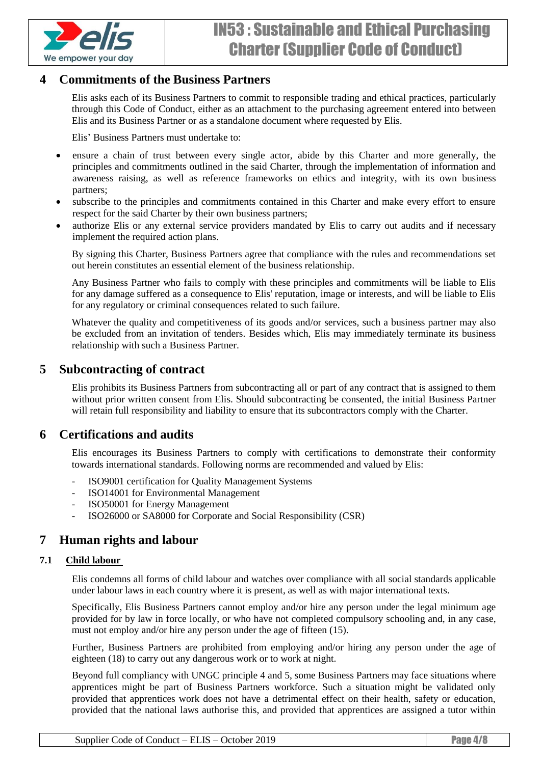

## <span id="page-3-0"></span>**4 Commitments of the Business Partners**

Elis asks each of its Business Partners to commit to responsible trading and ethical practices, particularly through this Code of Conduct, either as an attachment to the purchasing agreement entered into between Elis and its Business Partner or as a standalone document where requested by Elis.

Elis' Business Partners must undertake to:

- ensure a chain of trust between every single actor, abide by this Charter and more generally, the principles and commitments outlined in the said Charter, through the implementation of information and awareness raising, as well as reference frameworks on ethics and integrity, with its own business partners;
- subscribe to the principles and commitments contained in this Charter and make every effort to ensure respect for the said Charter by their own business partners;
- authorize Elis or any external service providers mandated by Elis to carry out audits and if necessary implement the required action plans.

By signing this Charter, Business Partners agree that compliance with the rules and recommendations set out herein constitutes an essential element of the business relationship.

Any Business Partner who fails to comply with these principles and commitments will be liable to Elis for any damage suffered as a consequence to Elis' reputation, image or interests, and will be liable to Elis for any regulatory or criminal consequences related to such failure.

Whatever the quality and competitiveness of its goods and/or services, such a business partner may also be excluded from an invitation of tenders. Besides which, Elis may immediately terminate its business relationship with such a Business Partner.

## <span id="page-3-1"></span>**5 Subcontracting of contract**

Elis prohibits its Business Partners from subcontracting all or part of any contract that is assigned to them without prior written consent from Elis. Should subcontracting be consented, the initial Business Partner will retain full responsibility and liability to ensure that its subcontractors comply with the Charter.

## <span id="page-3-2"></span>**6 Certifications and audits**

Elis encourages its Business Partners to comply with certifications to demonstrate their conformity towards international standards. Following norms are recommended and valued by Elis:

- ISO9001 certification for Quality Management Systems
- ISO14001 for Environmental Management
- ISO50001 for Energy Management
- ISO26000 or SA8000 for Corporate and Social Responsibility (CSR)

## <span id="page-3-3"></span>**7 Human rights and labour**

#### <span id="page-3-4"></span>**7.1 Child labour**

Elis condemns all forms of child labour and watches over compliance with all social standards applicable under labour laws in each country where it is present, as well as with major international texts.

Specifically, Elis Business Partners cannot employ and/or hire any person under the legal minimum age provided for by law in force locally, or who have not completed compulsory schooling and, in any case, must not employ and/or hire any person under the age of fifteen (15).

Further, Business Partners are prohibited from employing and/or hiring any person under the age of eighteen (18) to carry out any dangerous work or to work at night.

Beyond full compliancy with UNGC principle 4 and 5, some Business Partners may face situations where apprentices might be part of Business Partners workforce. Such a situation might be validated only provided that apprentices work does not have a detrimental effect on their health, safety or education, provided that the national laws authorise this, and provided that apprentices are assigned a tutor within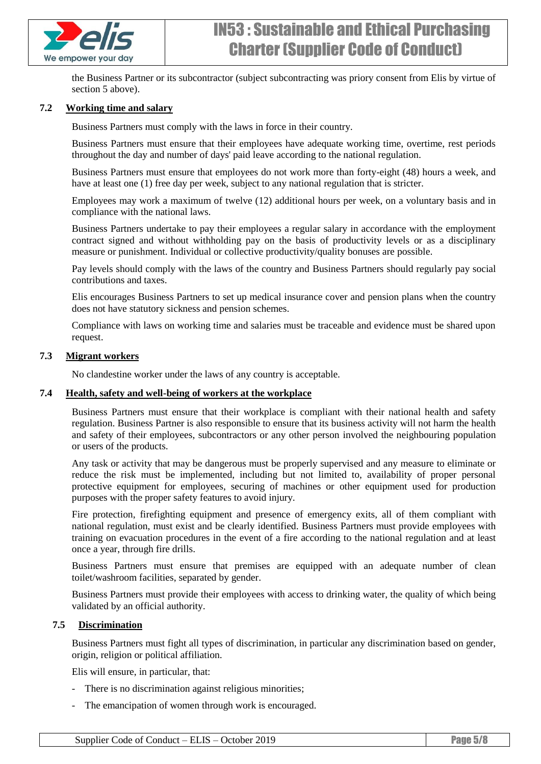

the Business Partner or its subcontractor (subject subcontracting was priory consent from Elis by virtue of section 5 above).

#### <span id="page-4-0"></span>**7.2 Working time and salary**

Business Partners must comply with the laws in force in their country.

Business Partners must ensure that their employees have adequate working time, overtime, rest periods throughout the day and number of days' paid leave according to the national regulation.

Business Partners must ensure that employees do not work more than forty-eight (48) hours a week, and have at least one (1) free day per week, subject to any national regulation that is stricter.

Employees may work a maximum of twelve (12) additional hours per week, on a voluntary basis and in compliance with the national laws.

Business Partners undertake to pay their employees a regular salary in accordance with the employment contract signed and without withholding pay on the basis of productivity levels or as a disciplinary measure or punishment. Individual or collective productivity/quality bonuses are possible.

Pay levels should comply with the laws of the country and Business Partners should regularly pay social contributions and taxes.

Elis encourages Business Partners to set up medical insurance cover and pension plans when the country does not have statutory sickness and pension schemes.

Compliance with laws on working time and salaries must be traceable and evidence must be shared upon request.

#### <span id="page-4-1"></span>**7.3 Migrant workers**

No clandestine worker under the laws of any country is acceptable.

#### <span id="page-4-2"></span>**7.4 Health, safety and well-being of workers at the workplace**

Business Partners must ensure that their workplace is compliant with their national health and safety regulation. Business Partner is also responsible to ensure that its business activity will not harm the health and safety of their employees, subcontractors or any other person involved the neighbouring population or users of the products.

Any task or activity that may be dangerous must be properly supervised and any measure to eliminate or reduce the risk must be implemented, including but not limited to, availability of proper personal protective equipment for employees, securing of machines or other equipment used for production purposes with the proper safety features to avoid injury.

Fire protection, firefighting equipment and presence of emergency exits, all of them compliant with national regulation, must exist and be clearly identified. Business Partners must provide employees with training on evacuation procedures in the event of a fire according to the national regulation and at least once a year, through fire drills.

Business Partners must ensure that premises are equipped with an adequate number of clean toilet/washroom facilities, separated by gender.

Business Partners must provide their employees with access to drinking water, the quality of which being validated by an official authority.

#### <span id="page-4-3"></span>**7.5 Discrimination**

Business Partners must fight all types of discrimination, in particular any discrimination based on gender, origin, religion or political affiliation.

Elis will ensure, in particular, that:

- There is no discrimination against religious minorities;
- The emancipation of women through work is encouraged.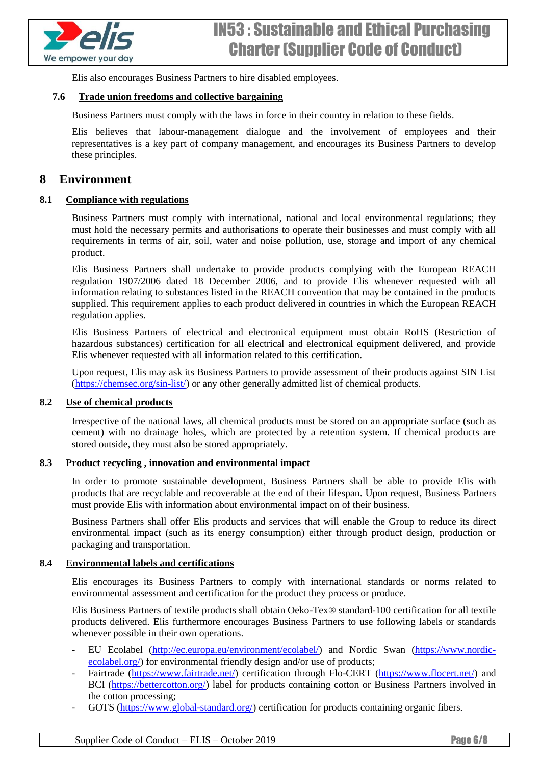

Elis also encourages Business Partners to hire disabled employees.

#### <span id="page-5-0"></span>**7.6 Trade union freedoms and collective bargaining**

Business Partners must comply with the laws in force in their country in relation to these fields.

Elis believes that labour-management dialogue and the involvement of employees and their representatives is a key part of company management, and encourages its Business Partners to develop these principles.

### <span id="page-5-1"></span>**8 Environment**

#### <span id="page-5-2"></span>**8.1 Compliance with regulations**

Business Partners must comply with international, national and local environmental regulations; they must hold the necessary permits and authorisations to operate their businesses and must comply with all requirements in terms of air, soil, water and noise pollution, use, storage and import of any chemical product.

Elis Business Partners shall undertake to provide products complying with the European REACH regulation 1907/2006 dated 18 December 2006, and to provide Elis whenever requested with all information relating to substances listed in the REACH convention that may be contained in the products supplied. This requirement applies to each product delivered in countries in which the European REACH regulation applies.

Elis Business Partners of electrical and electronical equipment must obtain RoHS (Restriction of hazardous substances) certification for all electrical and electronical equipment delivered, and provide Elis whenever requested with all information related to this certification.

Upon request, Elis may ask its Business Partners to provide assessment of their products against SIN List [\(https://chemsec.org/sin-list/\)](https://chemsec.org/sin-list/) or any other generally admitted list of chemical products.

#### <span id="page-5-3"></span>**8.2 Use of chemical products**

Irrespective of the national laws, all chemical products must be stored on an appropriate surface (such as cement) with no drainage holes, which are protected by a retention system. If chemical products are stored outside, they must also be stored appropriately.

#### <span id="page-5-4"></span>**8.3 Product recycling , innovation and environmental impact**

In order to promote sustainable development, Business Partners shall be able to provide Elis with products that are recyclable and recoverable at the end of their lifespan. Upon request, Business Partners must provide Elis with information about environmental impact on of their business.

Business Partners shall offer Elis products and services that will enable the Group to reduce its direct environmental impact (such as its energy consumption) either through product design, production or packaging and transportation.

#### <span id="page-5-5"></span>**8.4 Environmental labels and certifications**

Elis encourages its Business Partners to comply with international standards or norms related to environmental assessment and certification for the product they process or produce.

Elis Business Partners of textile products shall obtain Oeko-Tex® standard-100 certification for all textile products delivered. Elis furthermore encourages Business Partners to use following labels or standards whenever possible in their own operations.

- EU Ecolabel [\(http://ec.europa.eu/environment/ecolabel/\)](http://ec.europa.eu/environment/ecolabel/) and Nordic Swan [\(https://www.nordic](https://www.nordic-ecolabel.org/)[ecolabel.org/\)](https://www.nordic-ecolabel.org/) for environmental friendly design and/or use of products;
- Fairtrade [\(https://www.fairtrade.net/\)](https://www.fairtrade.net/) certification through Flo-CERT [\(https://www.flocert.net/\)](https://www.flocert.net/) and BCI [\(https://bettercotton.org/\)](https://bettercotton.org/) label for products containing cotton or Business Partners involved in the cotton processing;
- GOTS [\(https://www.global-standard.org/\)](https://www.global-standard.org/) certification for products containing organic fibers.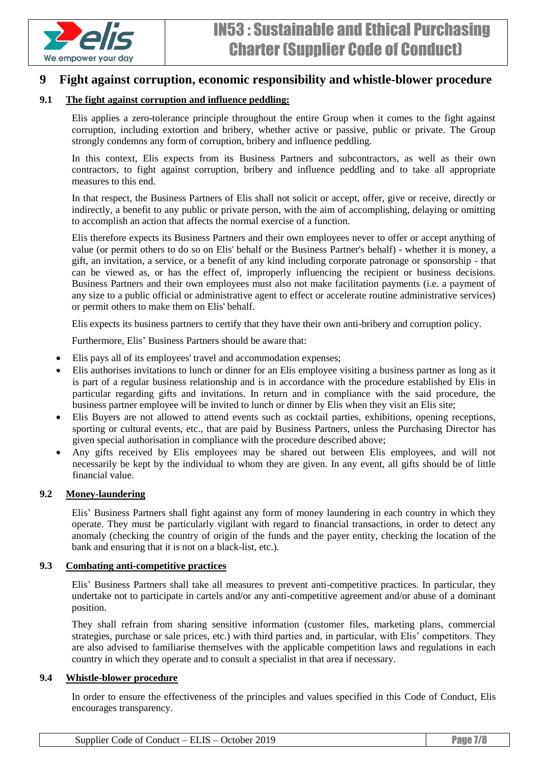

## <span id="page-6-0"></span>**9 Fight against corruption, economic responsibility and whistle-blower procedure**

#### <span id="page-6-1"></span>**9.1 The fight against corruption and influence peddling:**

Elis applies a zero-tolerance principle throughout the entire Group when it comes to the fight against corruption, including extortion and bribery, whether active or passive, public or private. The Group strongly condemns any form of corruption, bribery and influence peddling.

In this context, Elis expects from its Business Partners and subcontractors, as well as their own contractors, to fight against corruption, bribery and influence peddling and to take all appropriate measures to this end.

In that respect, the Business Partners of Elis shall not solicit or accept, offer, give or receive, directly or indirectly, a benefit to any public or private person, with the aim of accomplishing, delaying or omitting to accomplish an action that affects the normal exercise of a function.

Elis therefore expects its Business Partners and their own employees never to offer or accept anything of value (or permit others to do so on Elis' behalf or the Business Partner's behalf) - whether it is money, a gift, an invitation, a service, or a benefit of any kind including corporate patronage or sponsorship - that can be viewed as, or has the effect of, improperly influencing the recipient or business decisions. Business Partners and their own employees must also not make facilitation payments (i.e. a payment of any size to a public official or administrative agent to effect or accelerate routine administrative services) or permit others to make them on Elis' behalf.

Elis expects its business partners to certify that they have their own anti-bribery and corruption policy.

Furthermore, Elis' Business Partners should be aware that:

- Elis pays all of its employees' travel and accommodation expenses;
- Elis authorises invitations to lunch or dinner for an Elis employee visiting a business partner as long as it is part of a regular business relationship and is in accordance with the procedure established by Elis in particular regarding gifts and invitations. In return and in compliance with the said procedure, the business partner employee will be invited to lunch or dinner by Elis when they visit an Elis site;
- Elis Buyers are not allowed to attend events such as cocktail parties, exhibitions, opening receptions, sporting or cultural events, etc., that are paid by Business Partners, unless the Purchasing Director has given special authorisation in compliance with the procedure described above;
- Any gifts received by Elis employees may be shared out between Elis employees, and will not necessarily be kept by the individual to whom they are given. In any event, all gifts should be of little financial value.

#### <span id="page-6-2"></span>**9.2 Money-laundering**

Elis' Business Partners shall fight against any form of money laundering in each country in which they operate. They must be particularly vigilant with regard to financial transactions, in order to detect any anomaly (checking the country of origin of the funds and the payer entity, checking the location of the bank and ensuring that it is not on a black-list, etc.).

#### <span id="page-6-3"></span>**9.3 Combating anti-competitive practices**

Elis' Business Partners shall take all measures to prevent anti-competitive practices. In particular, they undertake not to participate in cartels and/or any anti-competitive agreement and/or abuse of a dominant position.

They shall refrain from sharing sensitive information (customer files, marketing plans, commercial strategies, purchase or sale prices, etc.) with third parties and, in particular, with Elis' competitors. They are also advised to familiarise themselves with the applicable competition laws and regulations in each country in which they operate and to consult a specialist in that area if necessary.

#### <span id="page-6-4"></span>**9.4 Whistle-blower procedure**

In order to ensure the effectiveness of the principles and values specified in this Code of Conduct, Elis encourages transparency.

| Supplier Code of Conduct – ELIS – October 2019 | <b>Page 7/8</b> |
|------------------------------------------------|-----------------|
|------------------------------------------------|-----------------|